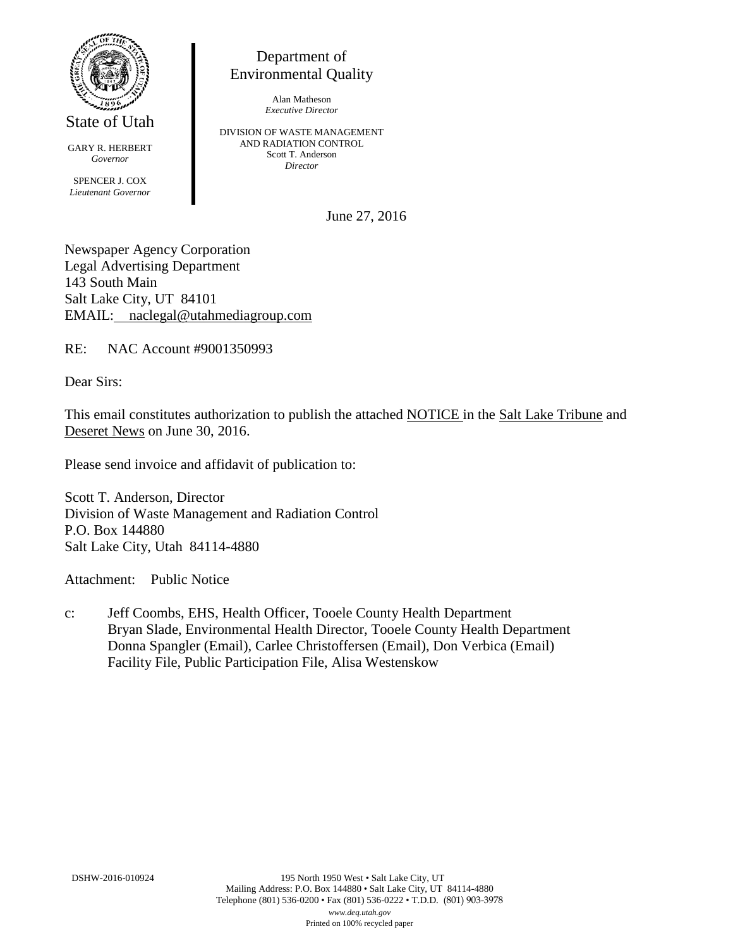

State of Utah

GARY R. HERBERT *Governor* SPENCER J. COX *Lieutenant Governor*

Department of Environmental Quality

> Alan Matheson *Executive Director*

DIVISION OF WASTE MANAGEMENT AND RADIATION CONTROL Scott T. Anderson *Director*

June 27, 2016

Newspaper Agency Corporation Legal Advertising Department 143 South Main Salt Lake City, UT 84101 EMAIL: naclegal@utahmediagroup.com

RE: NAC Account #9001350993

Dear Sirs:

This email constitutes authorization to publish the attached NOTICE in the Salt Lake Tribune and Deseret News on June 30, 2016.

Please send invoice and affidavit of publication to:

Scott T. Anderson, Director Division of Waste Management and Radiation Control P.O. Box 144880 Salt Lake City, Utah 84114-4880

Attachment: Public Notice

c: Jeff Coombs, EHS, Health Officer, Tooele County Health Department Bryan Slade, Environmental Health Director, Tooele County Health Department Donna Spangler (Email), Carlee Christoffersen (Email), Don Verbica (Email) Facility File, Public Participation File, Alisa Westenskow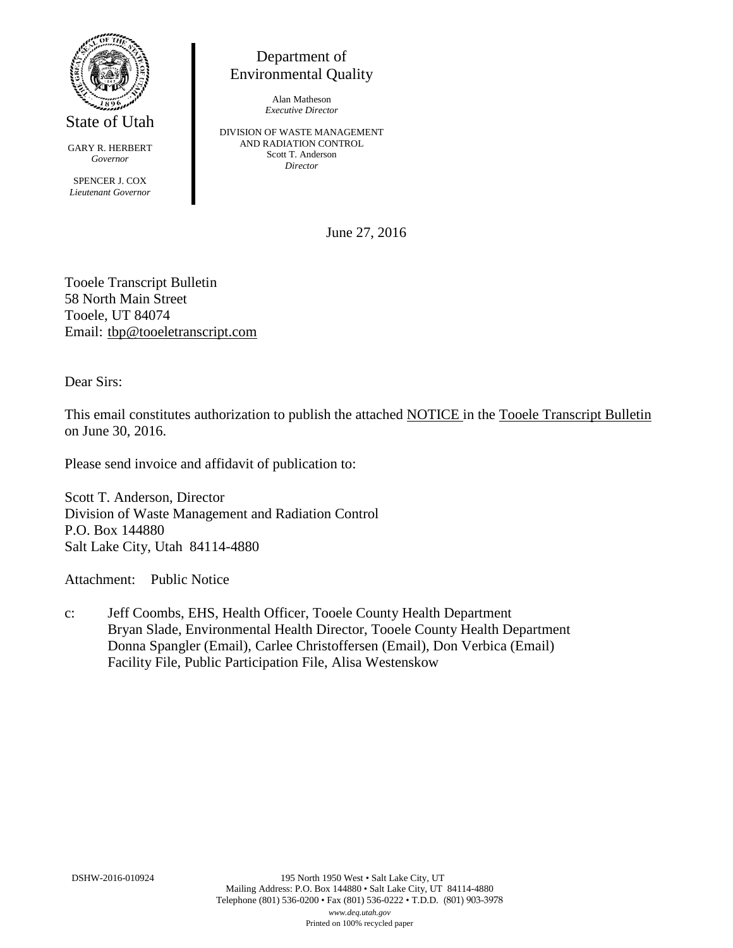

State of Utah

GARY R. HERBERT *Governor*

SPENCER J. COX *Lieutenant Governor*

Department of Environmental Quality

> Alan Matheson *Executive Director*

DIVISION OF WASTE MANAGEMENT AND RADIATION CONTROL Scott T. Anderson *Director*

June 27, 2016

Tooele Transcript Bulletin 58 North Main Street Tooele, UT 84074 Email: tbp@tooeletranscript.com

Dear Sirs:

This email constitutes authorization to publish the attached NOTICE in the Tooele Transcript Bulletin on June 30, 2016.

Please send invoice and affidavit of publication to:

Scott T. Anderson, Director Division of Waste Management and Radiation Control P.O. Box 144880 Salt Lake City, Utah 84114-4880

Attachment: Public Notice

c: Jeff Coombs, EHS, Health Officer, Tooele County Health Department Bryan Slade, Environmental Health Director, Tooele County Health Department Donna Spangler (Email), Carlee Christoffersen (Email), Don Verbica (Email) Facility File, Public Participation File, Alisa Westenskow